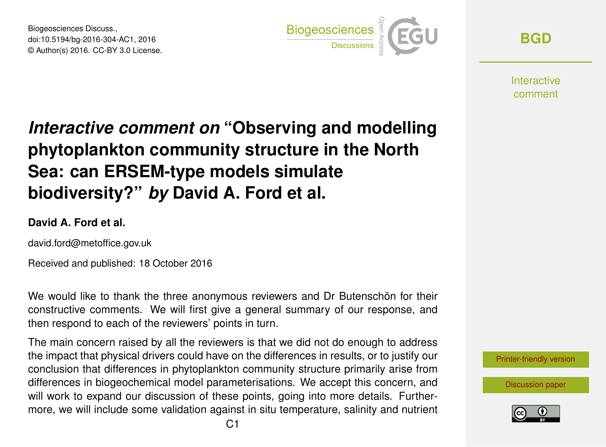Biogeosciences Discuss., doi:10.5194/bg-2016-304-AC1, 2016 © Author(s) 2016. CC-BY 3.0 License.



**[BGD](http://www.biogeosciences-discuss.net/)**

**Interactive** comment

# *Interactive comment on* **"Observing and modelling phytoplankton community structure in the North Sea: can ERSEM-type models simulate biodiversity?"** *by* **David A. Ford et al.**

### **David A. Ford et al.**

david.ford@metoffice.gov.uk

Received and published: 18 October 2016

We would like to thank the three anonymous reviewers and Dr Butenschön for their constructive comments. We will first give a general summary of our response, and then respond to each of the reviewers' points in turn.

The main concern raised by all the reviewers is that we did not do enough to address the impact that physical drivers could have on the differences in results, or to justify our conclusion that differences in phytoplankton community structure primarily arise from differences in biogeochemical model parameterisations. We accept this concern, and will work to expand our discussion of these points, going into more details. Furthermore, we will include some validation against in situ temperature, salinity and nutrient

[Printer-friendly version](http://www.biogeosciences-discuss.net/bg-2016-304/bg-2016-304-AC1-print.pdf)

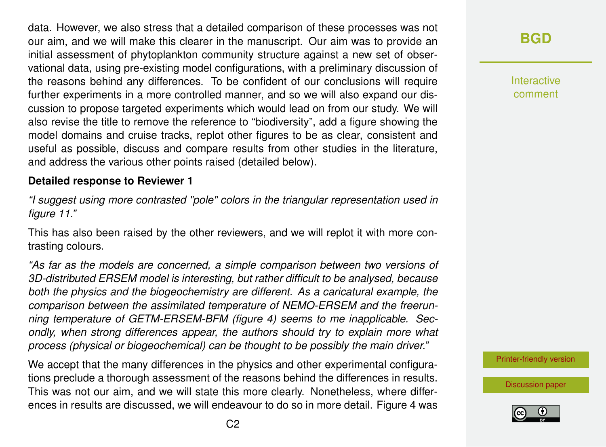data. However, we also stress that a detailed comparison of these processes was not our aim, and we will make this clearer in the manuscript. Our aim was to provide an initial assessment of phytoplankton community structure against a new set of observational data, using pre-existing model configurations, with a preliminary discussion of the reasons behind any differences. To be confident of our conclusions will require further experiments in a more controlled manner, and so we will also expand our discussion to propose targeted experiments which would lead on from our study. We will also revise the title to remove the reference to "biodiversity", add a figure showing the model domains and cruise tracks, replot other figures to be as clear, consistent and useful as possible, discuss and compare results from other studies in the literature, and address the various other points raised (detailed below).

#### **Detailed response to Reviewer 1**

*"I suggest using more contrasted "pole" colors in the triangular representation used in figure 11."*

This has also been raised by the other reviewers, and we will replot it with more contrasting colours.

*"As far as the models are concerned, a simple comparison between two versions of 3D-distributed ERSEM model is interesting, but rather difficult to be analysed, because both the physics and the biogeochemistry are different. As a caricatural example, the comparison between the assimilated temperature of NEMO-ERSEM and the freerunning temperature of GETM-ERSEM-BFM (figure 4) seems to me inapplicable. Secondly, when strong differences appear, the authors should try to explain more what process (physical or biogeochemical) can be thought to be possibly the main driver."*

We accept that the many differences in the physics and other experimental configurations preclude a thorough assessment of the reasons behind the differences in results. This was not our aim, and we will state this more clearly. Nonetheless, where differences in results are discussed, we will endeavour to do so in more detail. Figure 4 was

### **[BGD](http://www.biogeosciences-discuss.net/)**

Interactive comment

[Printer-friendly version](http://www.biogeosciences-discuss.net/bg-2016-304/bg-2016-304-AC1-print.pdf)

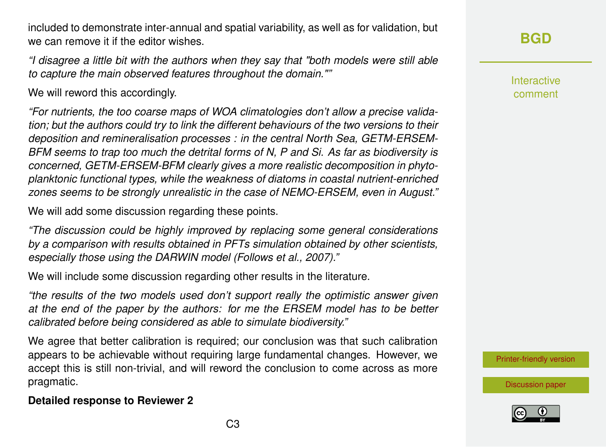included to demonstrate inter-annual and spatial variability, as well as for validation, but we can remove it if the editor wishes.

*"I disagree a little bit with the authors when they say that "both models were still able to capture the main observed features throughout the domain.""*

We will reword this accordingly.

*"For nutrients, the too coarse maps of WOA climatologies don't allow a precise validation; but the authors could try to link the different behaviours of the two versions to their deposition and remineralisation processes : in the central North Sea, GETM-ERSEM-BFM seems to trap too much the detrital forms of N, P and Si. As far as biodiversity is concerned, GETM-ERSEM-BFM clearly gives a more realistic decomposition in phytoplanktonic functional types, while the weakness of diatoms in coastal nutrient-enriched zones seems to be strongly unrealistic in the case of NEMO-ERSEM, even in August."*

We will add some discussion regarding these points.

*"The discussion could be highly improved by replacing some general considerations by a comparison with results obtained in PFTs simulation obtained by other scientists, especially those using the DARWIN model (Follows et al., 2007)."*

We will include some discussion regarding other results in the literature.

*"the results of the two models used don't support really the optimistic answer given at the end of the paper by the authors: for me the ERSEM model has to be better calibrated before being considered as able to simulate biodiversity."*

We agree that better calibration is required; our conclusion was that such calibration appears to be achievable without requiring large fundamental changes. However, we accept this is still non-trivial, and will reword the conclusion to come across as more pragmatic.

### **[BGD](http://www.biogeosciences-discuss.net/)**

**Interactive** comment

[Printer-friendly version](http://www.biogeosciences-discuss.net/bg-2016-304/bg-2016-304-AC1-print.pdf)





#### **Detailed response to Reviewer 2**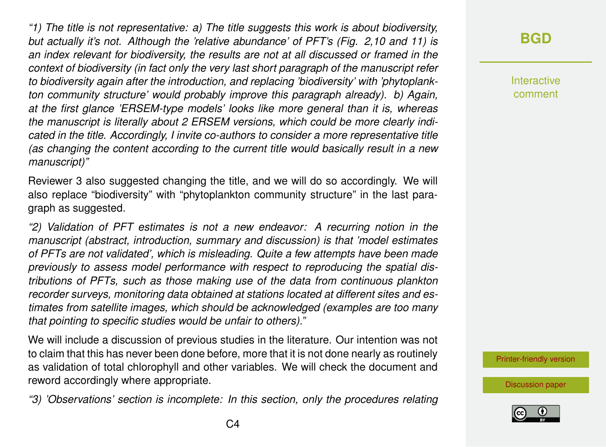*"1) The title is not representative: a) The title suggests this work is about biodiversity, but actually it's not. Although the 'relative abundance' of PFT's (Fig. 2,10 and 11) is an index relevant for biodiversity, the results are not at all discussed or framed in the context of biodiversity (in fact only the very last short paragraph of the manuscript refer to biodiversity again after the introduction, and replacing 'biodiversity' with 'phytoplankton community structure' would probably improve this paragraph already). b) Again, at the first glance 'ERSEM-type models' looks like more general than it is, whereas the manuscript is literally about 2 ERSEM versions, which could be more clearly indicated in the title. Accordingly, I invite co-authors to consider a more representative title (as changing the content according to the current title would basically result in a new manuscript)"*

Reviewer 3 also suggested changing the title, and we will do so accordingly. We will also replace "biodiversity" with "phytoplankton community structure" in the last paragraph as suggested.

*"2) Validation of PFT estimates is not a new endeavor: A recurring notion in the manuscript (abstract, introduction, summary and discussion) is that 'model estimates of PFTs are not validated', which is misleading. Quite a few attempts have been made previously to assess model performance with respect to reproducing the spatial distributions of PFTs, such as those making use of the data from continuous plankton recorder surveys, monitoring data obtained at stations located at different sites and estimates from satellite images, which should be acknowledged (examples are too many that pointing to specific studies would be unfair to others)."*

We will include a discussion of previous studies in the literature. Our intention was not to claim that this has never been done before, more that it is not done nearly as routinely as validation of total chlorophyll and other variables. We will check the document and reword accordingly where appropriate.

*"3) 'Observations' section is incomplete: In this section, only the procedures relating*

### **[BGD](http://www.biogeosciences-discuss.net/)**

**Interactive** comment

[Printer-friendly version](http://www.biogeosciences-discuss.net/bg-2016-304/bg-2016-304-AC1-print.pdf)

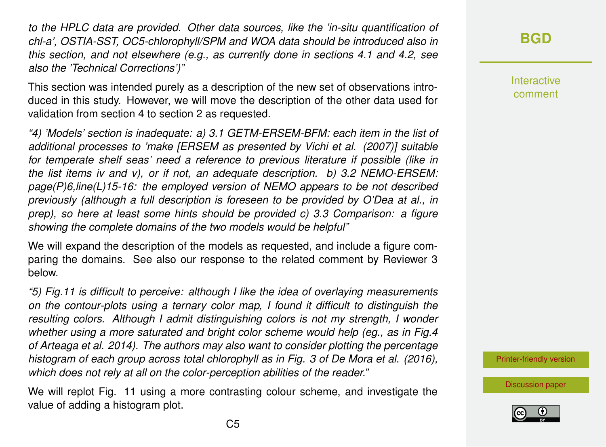*to the HPLC data are provided. Other data sources, like the 'in-situ quantification of chl-a', OSTIA-SST, OC5-chlorophyll/SPM and WOA data should be introduced also in this section, and not elsewhere (e.g., as currently done in sections 4.1 and 4.2, see also the 'Technical Corrections')"*

This section was intended purely as a description of the new set of observations introduced in this study. However, we will move the description of the other data used for validation from section 4 to section 2 as requested.

*"4) 'Models' section is inadequate: a) 3.1 GETM-ERSEM-BFM: each item in the list of additional processes to 'make [ERSEM as presented by Vichi et al. (2007)] suitable for temperate shelf seas' need a reference to previous literature if possible (like in the list items iv and v), or if not, an adequate description. b) 3.2 NEMO-ERSEM: page(P)6,line(L)15-16: the employed version of NEMO appears to be not described previously (although a full description is foreseen to be provided by O'Dea at al., in prep), so here at least some hints should be provided c) 3.3 Comparison: a figure showing the complete domains of the two models would be helpful"*

We will expand the description of the models as requested, and include a figure comparing the domains. See also our response to the related comment by Reviewer 3 below.

*"5) Fig.11 is difficult to perceive: although I like the idea of overlaying measurements on the contour-plots using a ternary color map, I found it difficult to distinguish the resulting colors. Although I admit distinguishing colors is not my strength, I wonder whether using a more saturated and bright color scheme would help (eg., as in Fig.4 of Arteaga et al. 2014). The authors may also want to consider plotting the percentage histogram of each group across total chlorophyll as in Fig. 3 of De Mora et al. (2016), which does not rely at all on the color-perception abilities of the reader."*

We will replot Fig. 11 using a more contrasting colour scheme, and investigate the value of adding a histogram plot.

**[BGD](http://www.biogeosciences-discuss.net/)**

**Interactive** comment

[Printer-friendly version](http://www.biogeosciences-discuss.net/bg-2016-304/bg-2016-304-AC1-print.pdf)

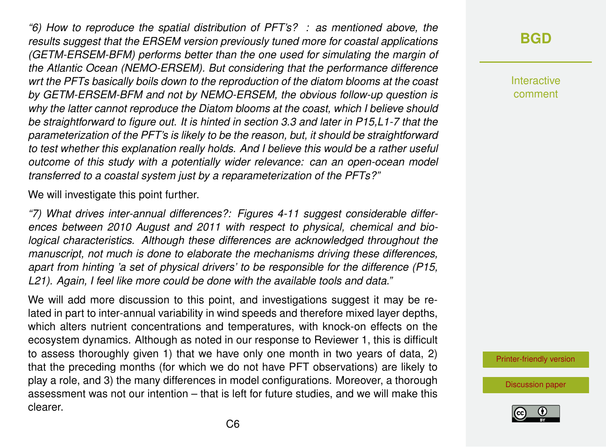*"6) How to reproduce the spatial distribution of PFT's? : as mentioned above, the results suggest that the ERSEM version previously tuned more for coastal applications (GETM-ERSEM-BFM) performs better than the one used for simulating the margin of the Atlantic Ocean (NEMO-ERSEM). But considering that the performance difference wrt the PFTs basically boils down to the reproduction of the diatom blooms at the coast by GETM-ERSEM-BFM and not by NEMO-ERSEM, the obvious follow-up question is why the latter cannot reproduce the Diatom blooms at the coast, which I believe should be straightforward to figure out. It is hinted in section 3.3 and later in P15,L1-7 that the parameterization of the PFT's is likely to be the reason, but, it should be straightforward to test whether this explanation really holds. And I believe this would be a rather useful outcome of this study with a potentially wider relevance: can an open-ocean model transferred to a coastal system just by a reparameterization of the PFTs?"*

We will investigate this point further.

*"7) What drives inter-annual differences?: Figures 4-11 suggest considerable differences between 2010 August and 2011 with respect to physical, chemical and biological characteristics. Although these differences are acknowledged throughout the manuscript, not much is done to elaborate the mechanisms driving these differences, apart from hinting 'a set of physical drivers' to be responsible for the difference (P15, L21). Again, I feel like more could be done with the available tools and data."*

We will add more discussion to this point, and investigations suggest it may be related in part to inter-annual variability in wind speeds and therefore mixed layer depths, which alters nutrient concentrations and temperatures, with knock-on effects on the ecosystem dynamics. Although as noted in our response to Reviewer 1, this is difficult to assess thoroughly given 1) that we have only one month in two years of data, 2) that the preceding months (for which we do not have PFT observations) are likely to play a role, and 3) the many differences in model configurations. Moreover, a thorough assessment was not our intention – that is left for future studies, and we will make this clearer.

### **[BGD](http://www.biogeosciences-discuss.net/)**

**Interactive** comment

[Printer-friendly version](http://www.biogeosciences-discuss.net/bg-2016-304/bg-2016-304-AC1-print.pdf)

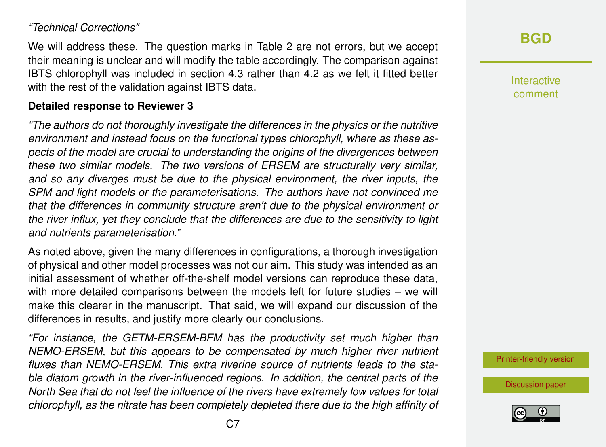#### *"Technical Corrections"*

We will address these. The question marks in Table 2 are not errors, but we accept their meaning is unclear and will modify the table accordingly. The comparison against IBTS chlorophyll was included in section 4.3 rather than 4.2 as we felt it fitted better with the rest of the validation against IBTS data.

#### **Detailed response to Reviewer 3**

*"The authors do not thoroughly investigate the differences in the physics or the nutritive environment and instead focus on the functional types chlorophyll, where as these aspects of the model are crucial to understanding the origins of the divergences between these two similar models. The two versions of ERSEM are structurally very similar, and so any diverges must be due to the physical environment, the river inputs, the SPM and light models or the parameterisations. The authors have not convinced me that the differences in community structure aren't due to the physical environment or the river influx, yet they conclude that the differences are due to the sensitivity to light and nutrients parameterisation."*

As noted above, given the many differences in configurations, a thorough investigation of physical and other model processes was not our aim. This study was intended as an initial assessment of whether off-the-shelf model versions can reproduce these data, with more detailed comparisons between the models left for future studies – we will make this clearer in the manuscript. That said, we will expand our discussion of the differences in results, and justify more clearly our conclusions.

*"For instance, the GETM-ERSEM-BFM has the productivity set much higher than NEMO-ERSEM, but this appears to be compensated by much higher river nutrient fluxes than NEMO-ERSEM. This extra riverine source of nutrients leads to the stable diatom growth in the river-influenced regions. In addition, the central parts of the North Sea that do not feel the influence of the rivers have extremely low values for total chlorophyll, as the nitrate has been completely depleted there due to the high affinity of*

### **[BGD](http://www.biogeosciences-discuss.net/)**

Interactive comment

[Printer-friendly version](http://www.biogeosciences-discuss.net/bg-2016-304/bg-2016-304-AC1-print.pdf)

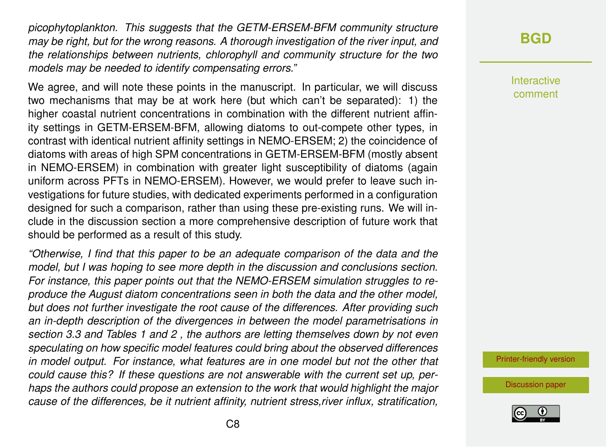*picophytoplankton. This suggests that the GETM-ERSEM-BFM community structure may be right, but for the wrong reasons. A thorough investigation of the river input, and the relationships between nutrients, chlorophyll and community structure for the two models may be needed to identify compensating errors."*

We agree, and will note these points in the manuscript. In particular, we will discuss two mechanisms that may be at work here (but which can't be separated): 1) the higher coastal nutrient concentrations in combination with the different nutrient affinity settings in GETM-ERSEM-BFM, allowing diatoms to out-compete other types, in contrast with identical nutrient affinity settings in NEMO-ERSEM; 2) the coincidence of diatoms with areas of high SPM concentrations in GETM-ERSEM-BFM (mostly absent in NEMO-ERSEM) in combination with greater light susceptibility of diatoms (again uniform across PFTs in NEMO-ERSEM). However, we would prefer to leave such investigations for future studies, with dedicated experiments performed in a configuration designed for such a comparison, rather than using these pre-existing runs. We will include in the discussion section a more comprehensive description of future work that should be performed as a result of this study.

*"Otherwise, I find that this paper to be an adequate comparison of the data and the model, but I was hoping to see more depth in the discussion and conclusions section. For instance, this paper points out that the NEMO-ERSEM simulation struggles to reproduce the August diatom concentrations seen in both the data and the other model, but does not further investigate the root cause of the differences. After providing such an in-depth description of the divergences in between the model parametrisations in section 3.3 and Tables 1 and 2 , the authors are letting themselves down by not even speculating on how specific model features could bring about the observed differences in model output. For instance, what features are in one model but not the other that could cause this? If these questions are not answerable with the current set up, perhaps the authors could propose an extension to the work that would highlight the major cause of the differences, be it nutrient affinity, nutrient stress,river influx, stratification,*

### **[BGD](http://www.biogeosciences-discuss.net/)**

Interactive comment

[Printer-friendly version](http://www.biogeosciences-discuss.net/bg-2016-304/bg-2016-304-AC1-print.pdf)

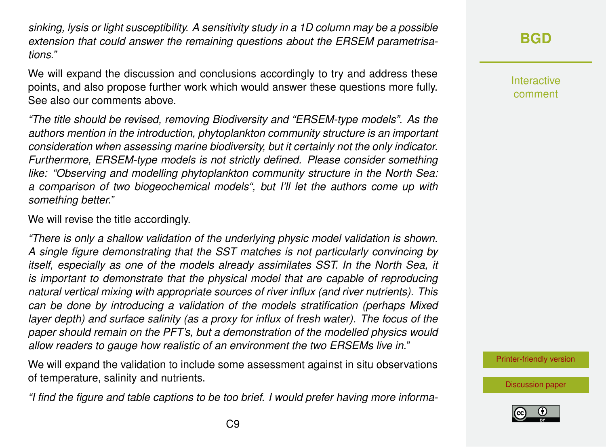*sinking, lysis or light susceptibility. A sensitivity study in a 1D column may be a possible extension that could answer the remaining questions about the ERSEM parametrisations."*

We will expand the discussion and conclusions accordingly to try and address these points, and also propose further work which would answer these questions more fully. See also our comments above.

*"The title should be revised, removing Biodiversity and "ERSEM-type models". As the authors mention in the introduction, phytoplankton community structure is an important consideration when assessing marine biodiversity, but it certainly not the only indicator. Furthermore, ERSEM-type models is not strictly defined. Please consider something like: "Observing and modelling phytoplankton community structure in the North Sea: a comparison of two biogeochemical models", but I'll let the authors come up with something better."*

We will revise the title accordingly.

*"There is only a shallow validation of the underlying physic model validation is shown. A single figure demonstrating that the SST matches is not particularly convincing by itself, especially as one of the models already assimilates SST. In the North Sea, it is important to demonstrate that the physical model that are capable of reproducing natural vertical mixing with appropriate sources of river influx (and river nutrients). This can be done by introducing a validation of the models stratification (perhaps Mixed layer depth) and surface salinity (as a proxy for influx of fresh water). The focus of the paper should remain on the PFT's, but a demonstration of the modelled physics would allow readers to gauge how realistic of an environment the two ERSEMs live in."*

We will expand the validation to include some assessment against in situ observations of temperature, salinity and nutrients.

*"I find the figure and table captions to be too brief. I would prefer having more informa-*

### **[BGD](http://www.biogeosciences-discuss.net/)**

**Interactive** comment

[Printer-friendly version](http://www.biogeosciences-discuss.net/bg-2016-304/bg-2016-304-AC1-print.pdf)

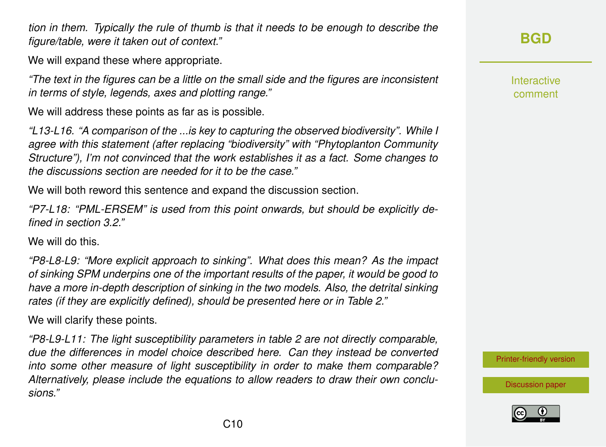*tion in them. Typically the rule of thumb is that it needs to be enough to describe the figure/table, were it taken out of context."*

We will expand these where appropriate.

*"The text in the figures can be a little on the small side and the figures are inconsistent in terms of style, legends, axes and plotting range."*

We will address these points as far as is possible.

*"L13-L16. "A comparison of the ...is key to capturing the observed biodiversity". While I agree with this statement (after replacing "biodiversity" with "Phytoplanton Community Structure"), I'm not convinced that the work establishes it as a fact. Some changes to the discussions section are needed for it to be the case."*

We will both reword this sentence and expand the discussion section.

*"P7-L18: "PML-ERSEM" is used from this point onwards, but should be explicitly defined in section 3.2."*

We will do this.

*"P8-L8-L9: "More explicit approach to sinking". What does this mean? As the impact of sinking SPM underpins one of the important results of the paper, it would be good to have a more in-depth description of sinking in the two models. Also, the detrital sinking rates (if they are explicitly defined), should be presented here or in Table 2."*

We will clarify these points.

*"P8-L9-L11: The light susceptibility parameters in table 2 are not directly comparable, due the differences in model choice described here. Can they instead be converted into some other measure of light susceptibility in order to make them comparable? Alternatively, please include the equations to allow readers to draw their own conclusions."*

**[BGD](http://www.biogeosciences-discuss.net/)**

**Interactive** comment

[Printer-friendly version](http://www.biogeosciences-discuss.net/bg-2016-304/bg-2016-304-AC1-print.pdf)

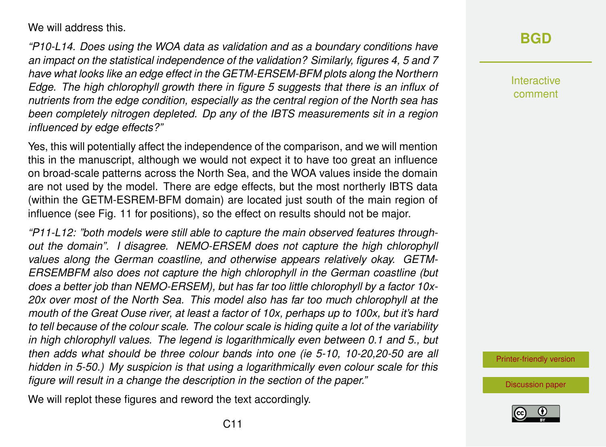We will address this.

*"P10-L14. Does using the WOA data as validation and as a boundary conditions have an impact on the statistical independence of the validation? Similarly, figures 4, 5 and 7 have what looks like an edge effect in the GETM-ERSEM-BFM plots along the Northern Edge. The high chlorophyll growth there in figure 5 suggests that there is an influx of nutrients from the edge condition, especially as the central region of the North sea has been completely nitrogen depleted. Dp any of the IBTS measurements sit in a region influenced by edge effects?"*

Yes, this will potentially affect the independence of the comparison, and we will mention this in the manuscript, although we would not expect it to have too great an influence on broad-scale patterns across the North Sea, and the WOA values inside the domain are not used by the model. There are edge effects, but the most northerly IBTS data (within the GETM-ESREM-BFM domain) are located just south of the main region of influence (see Fig. 11 for positions), so the effect on results should not be major.

*"P11-L12: "both models were still able to capture the main observed features throughout the domain". I disagree. NEMO-ERSEM does not capture the high chlorophyll values along the German coastline, and otherwise appears relatively okay. GETM-ERSEMBFM also does not capture the high chlorophyll in the German coastline (but does a better job than NEMO-ERSEM), but has far too little chlorophyll by a factor 10x-20x over most of the North Sea. This model also has far too much chlorophyll at the mouth of the Great Ouse river, at least a factor of 10x, perhaps up to 100x, but it's hard to tell because of the colour scale. The colour scale is hiding quite a lot of the variability in high chlorophyll values. The legend is logarithmically even between 0.1 and 5., but then adds what should be three colour bands into one (ie 5-10, 10-20,20-50 are all hidden in 5-50.) My suspicion is that using a logarithmically even colour scale for this figure will result in a change the description in the section of the paper."*

We will replot these figures and reword the text accordingly.

### **[BGD](http://www.biogeosciences-discuss.net/)**

Interactive comment

[Printer-friendly version](http://www.biogeosciences-discuss.net/bg-2016-304/bg-2016-304-AC1-print.pdf)

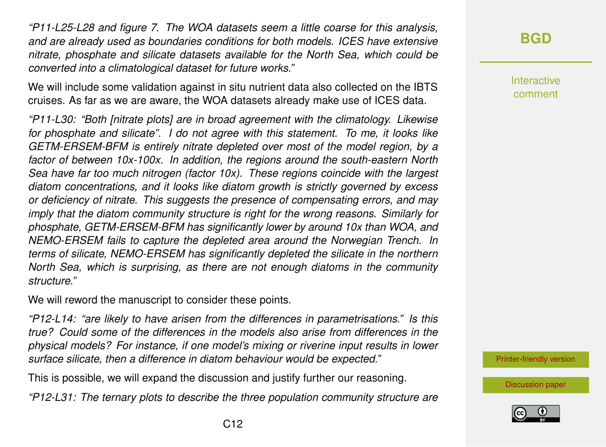*"P11-L25-L28 and figure 7. The WOA datasets seem a little coarse for this analysis, and are already used as boundaries conditions for both models. ICES have extensive nitrate, phosphate and silicate datasets available for the North Sea, which could be converted into a climatological dataset for future works."*

We will include some validation against in situ nutrient data also collected on the IBTS cruises. As far as we are aware, the WOA datasets already make use of ICES data.

*"P11-L30: "Both [nitrate plots] are in broad agreement with the climatology. Likewise for phosphate and silicate". I do not agree with this statement. To me, it looks like GETM-ERSEM-BFM is entirely nitrate depleted over most of the model region, by a factor of between 10x-100x. In addition, the regions around the south-eastern North Sea have far too much nitrogen (factor 10x). These regions coincide with the largest diatom concentrations, and it looks like diatom growth is strictly governed by excess or deficiency of nitrate. This suggests the presence of compensating errors, and may imply that the diatom community structure is right for the wrong reasons. Similarly for phosphate, GETM-ERSEM-BFM has significantly lower by around 10x than WOA, and NEMO-ERSEM fails to capture the depleted area around the Norwegian Trench. In terms of silicate, NEMO-ERSEM has significantly depleted the silicate in the northern North Sea, which is surprising, as there are not enough diatoms in the community structure."*

We will reword the manuscript to consider these points.

*"P12-L14: "are likely to have arisen from the differences in parametrisations." Is this true? Could some of the differences in the models also arise from differences in the physical models? For instance, if one model's mixing or riverine input results in lower surface silicate, then a difference in diatom behaviour would be expected."*

This is possible, we will expand the discussion and justify further our reasoning.

*"P12-L31: The ternary plots to describe the three population community structure are*

**Interactive** comment

[Printer-friendly version](http://www.biogeosciences-discuss.net/bg-2016-304/bg-2016-304-AC1-print.pdf)

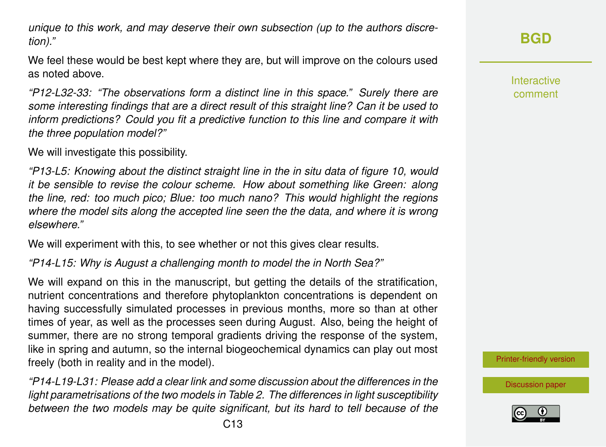*unique to this work, and may deserve their own subsection (up to the authors discretion)."*

We feel these would be best kept where they are, but will improve on the colours used as noted above.

*"P12-L32-33: "The observations form a distinct line in this space." Surely there are some interesting findings that are a direct result of this straight line? Can it be used to inform predictions? Could you fit a predictive function to this line and compare it with the three population model?"*

We will investigate this possibility.

*"P13-L5: Knowing about the distinct straight line in the in situ data of figure 10, would it be sensible to revise the colour scheme. How about something like Green: along the line, red: too much pico; Blue: too much nano? This would highlight the regions where the model sits along the accepted line seen the the data, and where it is wrong elsewhere."*

We will experiment with this, to see whether or not this gives clear results.

*"P14-L15: Why is August a challenging month to model the in North Sea?"*

We will expand on this in the manuscript, but getting the details of the stratification, nutrient concentrations and therefore phytoplankton concentrations is dependent on having successfully simulated processes in previous months, more so than at other times of year, as well as the processes seen during August. Also, being the height of summer, there are no strong temporal gradients driving the response of the system, like in spring and autumn, so the internal biogeochemical dynamics can play out most freely (both in reality and in the model).

*"P14-L19-L31: Please add a clear link and some discussion about the differences in the light parametrisations of the two models in Table 2. The differences in light susceptibility between the two models may be quite significant, but its hard to tell because of the*

Interactive comment

[Printer-friendly version](http://www.biogeosciences-discuss.net/bg-2016-304/bg-2016-304-AC1-print.pdf)

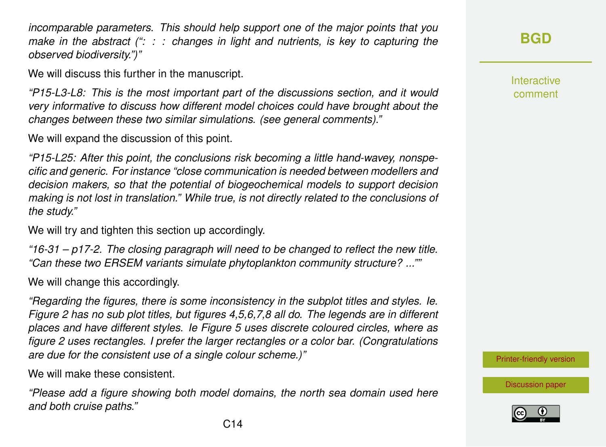*incomparable parameters. This should help support one of the major points that you make in the abstract (": : : changes in light and nutrients, is key to capturing the observed biodiversity.")"*

We will discuss this further in the manuscript.

*"P15-L3-L8: This is the most important part of the discussions section, and it would very informative to discuss how different model choices could have brought about the changes between these two similar simulations. (see general comments)."*

We will expand the discussion of this point.

*"P15-L25: After this point, the conclusions risk becoming a little hand-wavey, nonspecific and generic. For instance "close communication is needed between modellers and decision makers, so that the potential of biogeochemical models to support decision making is not lost in translation." While true, is not directly related to the conclusions of the study."*

We will try and tighten this section up accordingly.

*"16-31 – p17-2. The closing paragraph will need to be changed to reflect the new title. "Can these two ERSEM variants simulate phytoplankton community structure? ...""*

We will change this accordingly.

*"Regarding the figures, there is some inconsistency in the subplot titles and styles. Ie. Figure 2 has no sub plot titles, but figures 4,5,6,7,8 all do. The legends are in different places and have different styles. Ie Figure 5 uses discrete coloured circles, where as figure 2 uses rectangles. I prefer the larger rectangles or a color bar. (Congratulations are due for the consistent use of a single colour scheme.)"*

We will make these consistent.

*"Please add a figure showing both model domains, the north sea domain used here and both cruise paths."*

**Interactive** comment

[Printer-friendly version](http://www.biogeosciences-discuss.net/bg-2016-304/bg-2016-304-AC1-print.pdf)

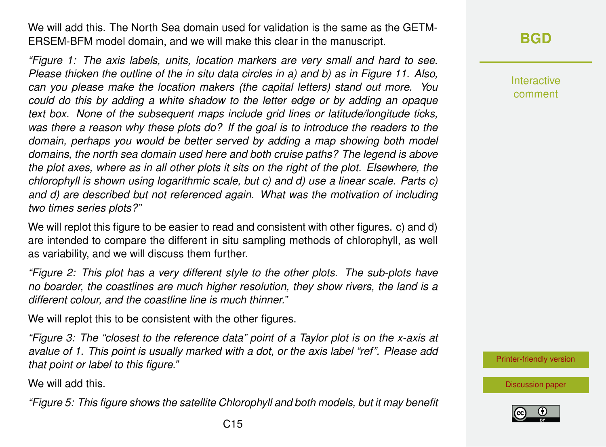We will add this. The North Sea domain used for validation is the same as the GETM-ERSEM-BFM model domain, and we will make this clear in the manuscript.

*"Figure 1: The axis labels, units, location markers are very small and hard to see. Please thicken the outline of the in situ data circles in a) and b) as in Figure 11. Also, can you please make the location makers (the capital letters) stand out more. You could do this by adding a white shadow to the letter edge or by adding an opaque text box. None of the subsequent maps include grid lines or latitude/longitude ticks, was there a reason why these plots do? If the goal is to introduce the readers to the domain, perhaps you would be better served by adding a map showing both model domains, the north sea domain used here and both cruise paths? The legend is above the plot axes, where as in all other plots it sits on the right of the plot. Elsewhere, the chlorophyll is shown using logarithmic scale, but c) and d) use a linear scale. Parts c) and d) are described but not referenced again. What was the motivation of including two times series plots?"*

We will replot this figure to be easier to read and consistent with other figures. c) and d) are intended to compare the different in situ sampling methods of chlorophyll, as well as variability, and we will discuss them further.

*"Figure 2: This plot has a very different style to the other plots. The sub-plots have no boarder, the coastlines are much higher resolution, they show rivers, the land is a different colour, and the coastline line is much thinner."*

We will replot this to be consistent with the other figures.

*"Figure 3: The "closest to the reference data" point of a Taylor plot is on the x-axis at avalue of 1. This point is usually marked with a dot, or the axis label "ref". Please add that point or label to this figure."*

We will add this.

*"Figure 5: This figure shows the satellite Chlorophyll and both models, but it may benefit*

**Interactive** comment

[Printer-friendly version](http://www.biogeosciences-discuss.net/bg-2016-304/bg-2016-304-AC1-print.pdf)

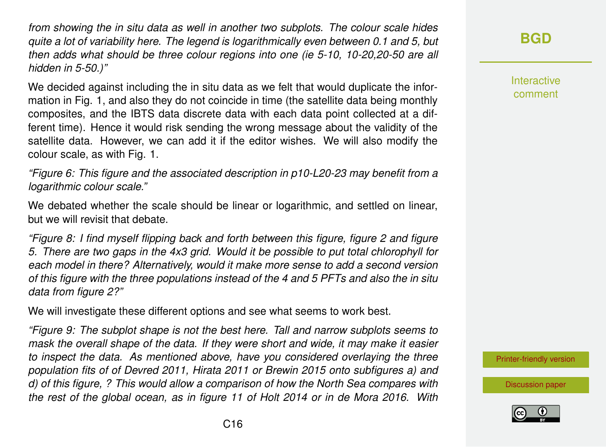*from showing the in situ data as well in another two subplots. The colour scale hides quite a lot of variability here. The legend is logarithmically even between 0.1 and 5, but then adds what should be three colour regions into one (ie 5-10, 10-20,20-50 are all hidden in 5-50.)"*

We decided against including the in situ data as we felt that would duplicate the information in Fig. 1, and also they do not coincide in time (the satellite data being monthly composites, and the IBTS data discrete data with each data point collected at a different time). Hence it would risk sending the wrong message about the validity of the satellite data. However, we can add it if the editor wishes. We will also modify the colour scale, as with Fig. 1.

*"Figure 6: This figure and the associated description in p10-L20-23 may benefit from a logarithmic colour scale."*

We debated whether the scale should be linear or logarithmic, and settled on linear, but we will revisit that debate.

*"Figure 8: I find myself flipping back and forth between this figure, figure 2 and figure 5. There are two gaps in the 4x3 grid. Would it be possible to put total chlorophyll for each model in there? Alternatively, would it make more sense to add a second version of this figure with the three populations instead of the 4 and 5 PFTs and also the in situ data from figure 2?"*

We will investigate these different options and see what seems to work best.

*"Figure 9: The subplot shape is not the best here. Tall and narrow subplots seems to mask the overall shape of the data. If they were short and wide, it may make it easier to inspect the data. As mentioned above, have you considered overlaying the three population fits of of Devred 2011, Hirata 2011 or Brewin 2015 onto subfigures a) and d) of this figure, ? This would allow a comparison of how the North Sea compares with the rest of the global ocean, as in figure 11 of Holt 2014 or in de Mora 2016. With*

## **[BGD](http://www.biogeosciences-discuss.net/)**

**Interactive** comment

[Printer-friendly version](http://www.biogeosciences-discuss.net/bg-2016-304/bg-2016-304-AC1-print.pdf)

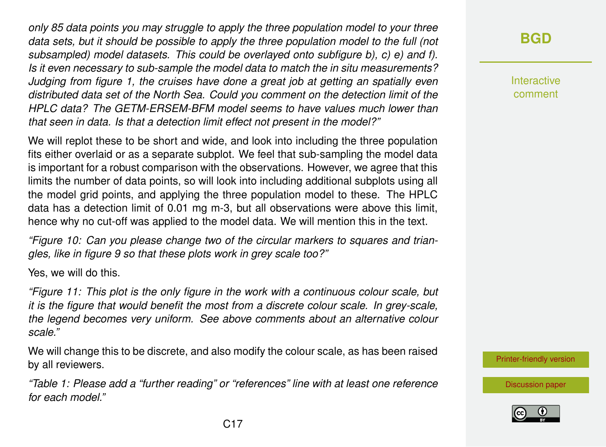*only 85 data points you may struggle to apply the three population model to your three data sets, but it should be possible to apply the three population model to the full (not subsampled) model datasets. This could be overlayed onto subfigure b), c) e) and f). Is it even necessary to sub-sample the model data to match the in situ measurements? Judging from figure 1, the cruises have done a great job at getting an spatially even distributed data set of the North Sea. Could you comment on the detection limit of the HPLC data? The GETM-ERSEM-BFM model seems to have values much lower than that seen in data. Is that a detection limit effect not present in the model?"*

We will replot these to be short and wide, and look into including the three population fits either overlaid or as a separate subplot. We feel that sub-sampling the model data is important for a robust comparison with the observations. However, we agree that this limits the number of data points, so will look into including additional subplots using all the model grid points, and applying the three population model to these. The HPLC data has a detection limit of 0.01 mg m-3, but all observations were above this limit, hence why no cut-off was applied to the model data. We will mention this in the text.

*"Figure 10: Can you please change two of the circular markers to squares and triangles, like in figure 9 so that these plots work in grey scale too?"*

Yes, we will do this.

*"Figure 11: This plot is the only figure in the work with a continuous colour scale, but it is the figure that would benefit the most from a discrete colour scale. In grey-scale, the legend becomes very uniform. See above comments about an alternative colour scale."*

We will change this to be discrete, and also modify the colour scale, as has been raised by all reviewers.

*"Table 1: Please add a "further reading" or "references" line with at least one reference for each model."*

### **[BGD](http://www.biogeosciences-discuss.net/)**

**Interactive** comment

[Printer-friendly version](http://www.biogeosciences-discuss.net/bg-2016-304/bg-2016-304-AC1-print.pdf)

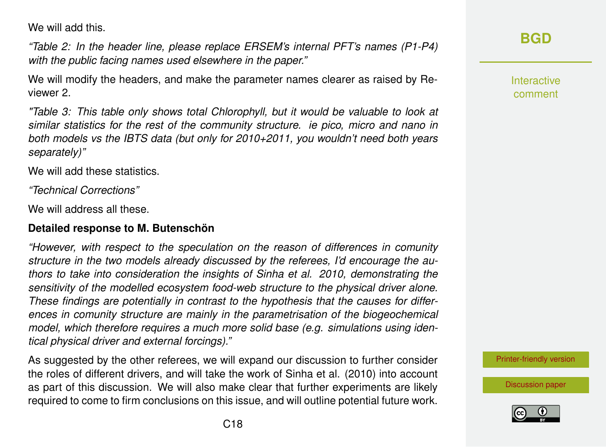We will add this.

*"Table 2: In the header line, please replace ERSEM's internal PFT's names (P1-P4) with the public facing names used elsewhere in the paper."*

We will modify the headers, and make the parameter names clearer as raised by Reviewer 2.

*"Table 3: This table only shows total Chlorophyll, but it would be valuable to look at similar statistics for the rest of the community structure. ie pico, micro and nano in both models vs the IBTS data (but only for 2010+2011, you wouldn't need both years separately)"*

We will add these statistics.

*"Technical Corrections"*

We will address all these.

#### **Detailed response to M. Butenschön**

*"However, with respect to the speculation on the reason of differences in comunity structure in the two models already discussed by the referees, I'd encourage the authors to take into consideration the insights of Sinha et al. 2010, demonstrating the sensitivity of the modelled ecosystem food-web structure to the physical driver alone. These findings are potentially in contrast to the hypothesis that the causes for differences in comunity structure are mainly in the parametrisation of the biogeochemical model, which therefore requires a much more solid base (e.g. simulations using identical physical driver and external forcings)."*

As suggested by the other referees, we will expand our discussion to further consider the roles of different drivers, and will take the work of Sinha et al. (2010) into account as part of this discussion. We will also make clear that further experiments are likely required to come to firm conclusions on this issue, and will outline potential future work.

### **[BGD](http://www.biogeosciences-discuss.net/)**

Interactive comment

[Printer-friendly version](http://www.biogeosciences-discuss.net/bg-2016-304/bg-2016-304-AC1-print.pdf)